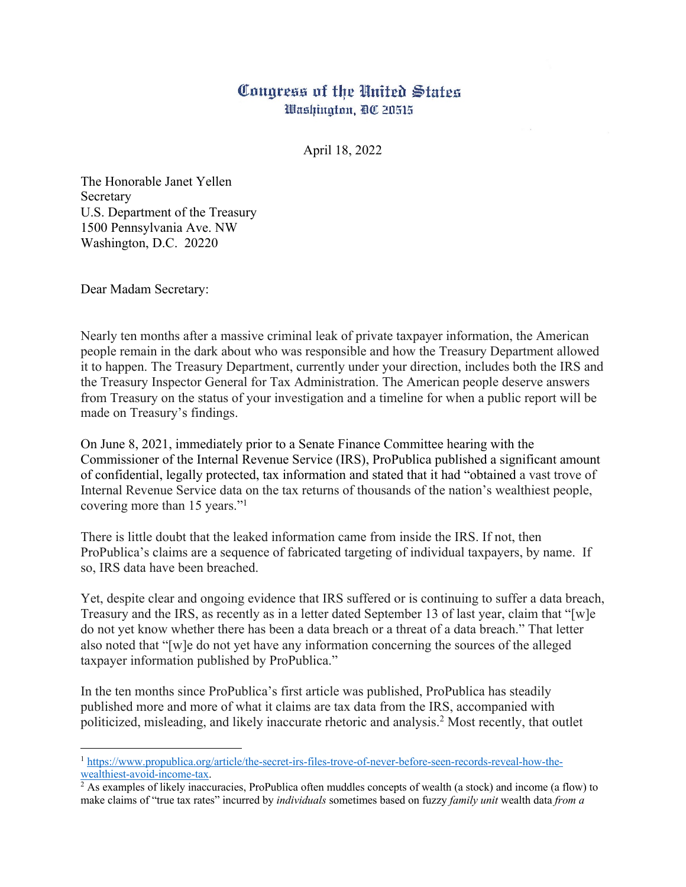## Congress of the United States Washington, DC 20515

April 18, 2022

The Honorable Janet Yellen Secretary U.S. Department of the Treasury 1500 Pennsylvania Ave. NW Washington, D.C. 20220

Dear Madam Secretary:

Nearly ten months after a massive criminal leak of private taxpayer information, the American people remain in the dark about who was responsible and how the Treasury Department allowed it to happen. The Treasury Department, currently under your direction, includes both the IRS and the Treasury Inspector General for Tax Administration. The American people deserve answers from Treasury on the status of your investigation and a timeline for when a public report will be made on Treasury's findings.

On June 8, 2021, immediately prior to a Senate Finance Committee hearing with the Commissioner of the Internal Revenue Service (IRS), ProPublica published a significant amount of confidential, legally protected, tax information and stated that it had "obtained a vast trove of Internal Revenue Service data on the tax returns of thousands of the nation's wealthiest people, covering more than 15 years."1

There is little doubt that the leaked information came from inside the IRS. If not, then ProPublica's claims are a sequence of fabricated targeting of individual taxpayers, by name. If so, IRS data have been breached.

Yet, despite clear and ongoing evidence that IRS suffered or is continuing to suffer a data breach, Treasury and the IRS, as recently as in a letter dated September 13 of last year, claim that "[w]e do not yet know whether there has been a data breach or a threat of a data breach." That letter also noted that "[w]e do not yet have any information concerning the sources of the alleged taxpayer information published by ProPublica."

In the ten months since ProPublica's first article was published, ProPublica has steadily published more and more of what it claims are tax data from the IRS, accompanied with politicized, misleading, and likely inaccurate rhetoric and analysis. <sup>2</sup> Most recently, that outlet

<sup>1</sup> https://www.propublica.org/article/the-secret-irs-files-trove-of-never-before-seen-records-reveal-how-thewealthiest-avoid-income-tax.

 $^2$  As examples of likely inaccuracies, ProPublica often muddles concepts of wealth (a stock) and income (a flow) to make claims of "true tax rates" incurred by *individuals* sometimes based on fuzzy *family unit* wealth data *from a*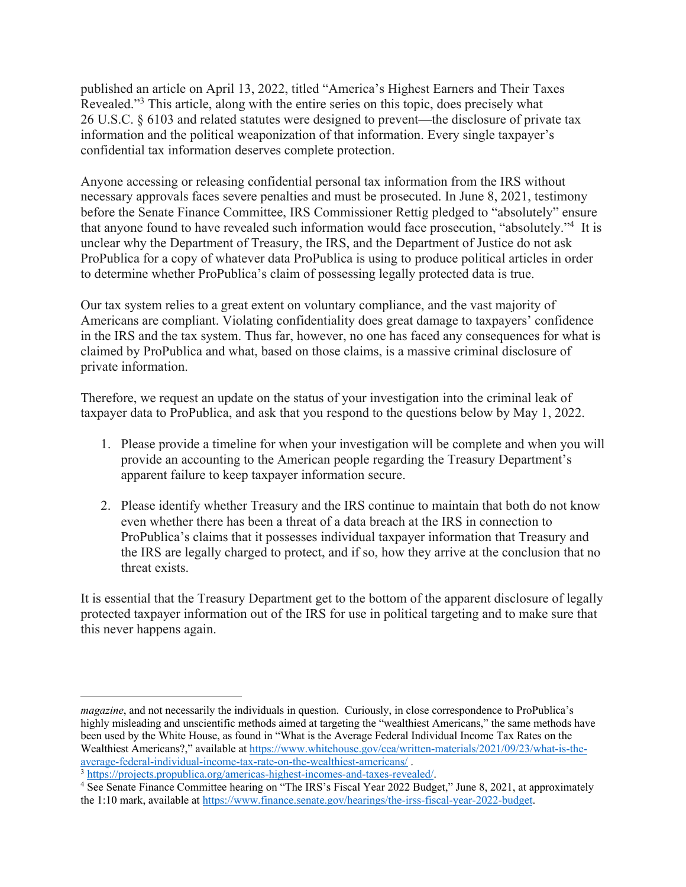published an article on April 13, 2022, titled "America's Highest Earners and Their Taxes Revealed."3 This article, along with the entire series on this topic, does precisely what 26 U.S.C. § 6103 and related statutes were designed to prevent—the disclosure of private tax information and the political weaponization of that information. Every single taxpayer's confidential tax information deserves complete protection.

Anyone accessing or releasing confidential personal tax information from the IRS without necessary approvals faces severe penalties and must be prosecuted. In June 8, 2021, testimony before the Senate Finance Committee, IRS Commissioner Rettig pledged to "absolutely" ensure that anyone found to have revealed such information would face prosecution, "absolutely."4 It is unclear why the Department of Treasury, the IRS, and the Department of Justice do not ask ProPublica for a copy of whatever data ProPublica is using to produce political articles in order to determine whether ProPublica's claim of possessing legally protected data is true.

Our tax system relies to a great extent on voluntary compliance, and the vast majority of Americans are compliant. Violating confidentiality does great damage to taxpayers' confidence in the IRS and the tax system. Thus far, however, no one has faced any consequences for what is claimed by ProPublica and what, based on those claims, is a massive criminal disclosure of private information.

Therefore, we request an update on the status of your investigation into the criminal leak of taxpayer data to ProPublica, and ask that you respond to the questions below by May 1, 2022.

- 1. Please provide a timeline for when your investigation will be complete and when you will provide an accounting to the American people regarding the Treasury Department's apparent failure to keep taxpayer information secure.
- 2. Please identify whether Treasury and the IRS continue to maintain that both do not know even whether there has been a threat of a data breach at the IRS in connection to ProPublica's claims that it possesses individual taxpayer information that Treasury and the IRS are legally charged to protect, and if so, how they arrive at the conclusion that no threat exists.

It is essential that the Treasury Department get to the bottom of the apparent disclosure of legally protected taxpayer information out of the IRS for use in political targeting and to make sure that this never happens again.

*magazine*, and not necessarily the individuals in question. Curiously, in close correspondence to ProPublica's highly misleading and unscientific methods aimed at targeting the "wealthiest Americans," the same methods have been used by the White House, as found in "What is the Average Federal Individual Income Tax Rates on the Wealthiest Americans?," available at https://www.whitehouse.gov/cea/written-materials/2021/09/23/what-is-the-<br>average-federal-individual-income-tax-rate-on-the-wealthiest-americans/

 $\frac{3 \text{ https://projects.propublica.org/american-indices-highest-incomes-and-taxes-revealed/}}{3 \text{ https://projects.propublica.org/american-indices-higher-incomes-and-taxes-revealed/}}$ .

<sup>&</sup>lt;sup>4</sup> See Senate Finance Committee hearing on "The IRS's Fiscal Year 2022 Budget," June 8, 2021, at approximately the 1:10 mark, available at https://www.finance.senate.gov/hearings/the-irss-fiscal-year-2022-budget.